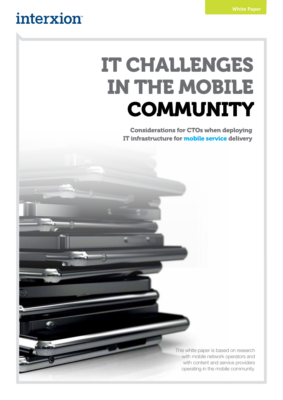## interxion

# IT CHALLENGES IN THE MOBILE **COMMUNITY**

Considerations for CTOs when deploying IT infrastructure for mobile service delivery

> This white paper is based on research with mobile network operators and with content and service providers operating in the mobile community.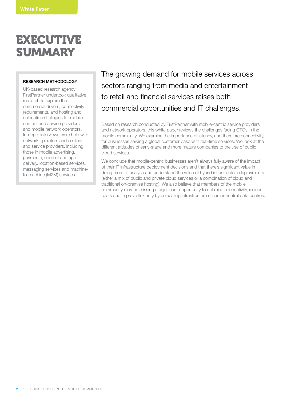### EXECUTIVE SUMMARY

#### RESEARCH METHODOLOGY

UK-based research agency FirstPartner undertook qualitative research to explore the commercial drivers, connectivity requirements, and hosting and colocation strategies for mobile content and service providers and mobile network operators. In-depth interviews were held with network operators and content and service providers, including those in mobile advertising, payments, content and app delivery, location-based services, messaging services and machineto-machine (M2M) services.

The growing demand for mobile services across sectors ranging from media and entertainment to retail and financial services raises both commercial opportunities and IT challenges.

Based on research conducted by FirstPartner with mobile-centric service providers and network operators, this white paper reviews the challenges facing CTOs in the mobile community. We examine the importance of latency, and therefore connectivity, for businesses serving a global customer base with real-time services. We look at the different attitudes of early-stage and more mature companies to the use of public cloud services.

We conclude that mobile-centric businesses aren't always fully aware of the impact of their IT infrastructure deployment decisions and that there's significant value in doing more to analyse and understand the value of hybrid infrastructure deployments (either a mix of public and private cloud services or a combination of cloud and traditional on-premise hosting). We also believe that members of the mobile community may be missing a significant opportunity to optimise connectivity, reduce costs and improve flexibility by colocating infrastructure in carrier-neutral data centres.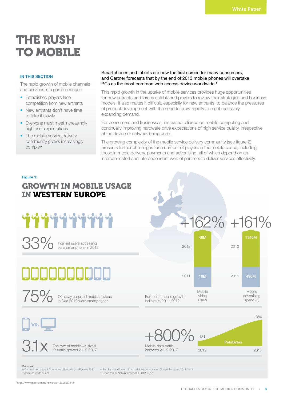### THE RUSH TO MOBILE

#### IN THIS SECTION

The rapid growth of mobile channels and services is a game changer:

- Fstablished players face competition from new entrants
- New entrants don't have time to take it slowly
- Everyone must meet increasingly high user expectations
- The mobile service delivery community grows increasingly complex

#### Smartphones and tablets are now the first screen for many consumers, and Gartner forecasts that by the end of 2013 mobile phones will overtake PCs as the most common web access device worldwide.<sup>1</sup>

This rapid growth in the uptake of mobile services provides huge opportunities for new entrants and forces established players to review their strategies and business models. It also makes it difficult, especially for new entrants, to balance the pressures of product development with the need to grow rapidly to meet massively expanding demand.

For consumers and businesses, increased reliance on mobile computing and continually improving hardware drive expectations of high service quality, irrespective of the device or network being used.

The growing complexity of the mobile service delivery community (see figure 2) presents further challenges for a number of players in the mobile space, including those in media delivery, payments and advertising, all of which depend on an interconnected and interdependent web of partners to deliver services effectively.

#### **Figure 1:** GROWTH IN MOBILE USAGE IN WESTERN EUROPE



 $33\%$  Internet users accessing<br>via a smartphone in 2012

# . . . . . .

 $750$ 

Of newly acquired mobile devices in Dec 2012 were smartphones





PetaBytes

Sources

vs.

• Ofcom International Communications Market Review 2012 • comScore MobiLen

 $3.1\times$  The rate of mobile vs. fixed

• FirstPartner Western Europe Mobile Advertising Spend Forecast 2012-2017 • Cisco Visual Networking Index 2012-2017

1 http://www.gartner.com/newsroom/id/2429815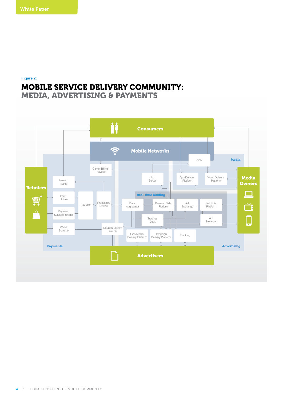**Figure 2:**

### MOBILE SERVICE DELIVERY COMMUNITY:

MEDIA, ADVERTISING & PAYMENTS

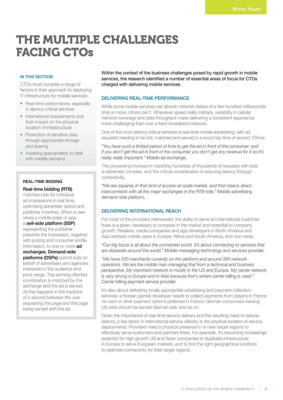### THE MULTIPLE CHALLENGES FACING CTOs

#### IN THIS SECTION

CTOs must consider a range of factors in their approach to deploying IT infrastructure for mobile services:

- Real-time performance, especially in latency-critical services
- International requirements and their impact on the physical location of infrastructure
- Protection of sensitive data through appropriate storage and sharing
- Investing appropriately to deal with volatile demand

#### REAL-TIME BIDDING

#### Real-time bidding (RTB)

matches bids for individual ad impressions in real time, optimising advertiser spend and publisher inventory. When a user views a mobile page or app,

a sell-side platform (SSP)

representing the publisher presents the impression, together with pricing and consumer profile information, to one or more ad exchanges. Demand-side platforms (DSPs) submit bids on

behalf of advertisers and agencies interested in the audience and price range. The winning offer/bid combination is matched by the exchange and the ad is served. *All this happens in the fractions of a second between the user requesting the page and the page being served with the ad.*

Within the context of the business challenges posed by rapid growth in mobile services, the research identified a number of essential areas of focus for CTOs charged with delivering mobile services.

#### DELIVERING REAL-TIME PERFORMANCE

While some mobile services can absorb network delays of a few hundred milliseconds (ms) or more, others can't. Whenever speed really matters, variability in cellular network coverage and data throughput make delivering a consistent experience more challenging than over a fixed broadband network.

One of the most latency-critical services is real-time mobile advertising; with ad requests needing to be bid, matched and served in a round trip time of around 100ms:

*"You have such a limited period of time to get the ad in front of the consumer; and if you don't get the ad in front of the consumer you don't get any revenue for it so it's really, really important."* Mobile ad exchange.

The processing involved in matching hundreds of thousands of requests with bids is extremely complex, and the critical consideration is reducing latency through connectivity.

*"We are squarely in that kind of access-at-scale market, and that means direct interconnects with all the major exchanges in the RTB side."* Mobile advertising demand-side platform.

#### DELIVERING INTERNATIONAL REACH

For most of the providers interviewed, the ability to serve an international customer base is a given, necessary to compete in the market and essential to company growth. Retailers, media companies and app developers in North America and Asia address mobile users in Europe, Africa and South America, and vice versa.

*"Our big focus is all about the connected world. It's about connecting to services that are disparate around the world."* Mobile messaging technology and services provider.

*"We have 500 merchants currently on the platform and around 380 network operators. We are the middle man managing that from a technical and business perspective. My merchant network is mostly in the US and Europe. My carrier network is very strong in Europe and in Asia because that's where carrier billing is used."*  Carrier billing payment service provider.

It's also about delivering locally appropriate advertising and payment collection services: a Korean games developer needs to collect payments from players in France via card or other payment options preferred in France; German consumers viewing US sites should be served German ads; and so on.

Given the importance of real-time service delivery and the resulting need to reduce latency, a key factor in international service delivery is the physical location of service deployments. Providers need a physical presence in or near target regions to effectively serve customers and partners there. For example, it's becoming increasingly essential for high-growth US and Asian companies to duplicate infrastructure in Europe to serve European markets, and to find the right geographical locations to optimise connectivity for their target regions.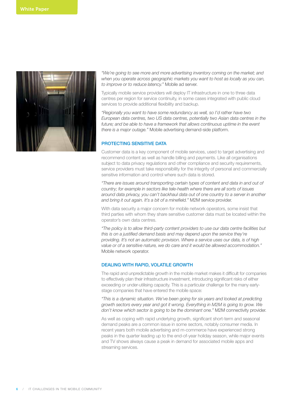

*"We're going to see more and more advertising inventory coming on the market; and when you operate across geographic markets you want to host as locally as you can, to improve or to reduce latency."* Mobile ad server.

Typically mobile service providers will deploy IT infrastructure in one to three data centres per region for service continuity, in some cases integrated with public cloud services to provide additional flexibility and backup.

*"Regionally you want to have some redundancy as well, so I'd rather have two European data centres, two US data centres, potentially two Asian data centres in the*  future; and be able to have a framework that allows continuous uptime in the event *there is a major outage."* Mobile advertising demand-side platform.

#### PROTECTING SENSITIVE DATA

Customer data is a key component of mobile services, used to target advertising and recommend content as well as handle billing and payments. Like all organisations subject to data privacy regulations and other compliance and security requirements, service providers must take responsibility for the integrity of personal and commercially sensitive information and control where such data is stored.

*"There are issues around transporting certain types of content and data in and out of country; for example in sectors like tele-health where there are all sorts of issues around data privacy, you can't backhaul data out of one country to a server in another and bring it out again. It's a bit of a minefield."* M2M service provider.

With data security a major concern for mobile network operators, some insist that third parties with whom they share sensitive customer data must be located within the operator's own data centres.

*"The policy is to allow third-party content providers to use our data centre facilities but this is on a justified demand basis and may depend upon the service they're providing. It's not an automatic provision. Where a service uses our data, is of high value or of a sensitive nature, we do care and it would be allowed accommodation."*  Mobile network operator.

#### DEALING WITH RAPID, VOLATILE GROWTH

The rapid and unpredictable growth in the mobile market makes it difficult for companies to effectively plan their infrastructure investment, introducing significant risks of either exceeding or under-utilising capacity. This is a particular challenge for the many earlystage companies that have entered the mobile space:

*"This is a dynamic situation. We've been going for six years and looked at predicting growth sectors every year and got it wrong. Everything in M2M is going to grow. We don't know which sector is going to be the dominant one."* M2M connectivity provider.

As well as coping with rapid underlying growth, significant short-term and seasonal demand peaks are a common issue in some sectors, notably consumer media. In recent years both mobile advertising and m-commerce have experienced strong peaks in the quarter leading up to the end-of-year holiday season, while major events and TV shows always cause a peak in demand for associated mobile apps and streaming services.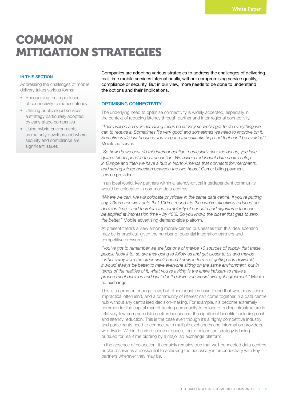### **COMMON** MITIGATION STRATEGIES

#### IN THIS SECTION

Addressing the challenges of mobile delivery takes various forms:

- Recognising the importance of connectivity to reduce latency
- Utilising public cloud services, a strategy particularly adopted by early-stage companies
- Using hybrid environments as maturity develops and where security and compliance are significant issues

Companies are adopting various strategies to address the challenges of delivering real-time mobile services internationally, without compromising service quality, compliance or security. But in our view, more needs to be done to understand the options and their implications.

#### OPTIMISING CONNECTIVITY

The underlying need to optimise connectivity is widely accepted, especially in the context of reducing latency through partner and inter-regional connectivity.

*"There will be an ever-increasing focus on latency so we've got to do everything we can to reduce it. Sometimes it's very good and sometimes we need to improve on it. Sometimes it's just because you've got a transatlantic hop and that can't be avoided."*  Mobile ad server.

*"So how do we best do this interconnection, particularly over the ocean; you lose quite a bit of speed in the transaction. We have a redundant data centre setup in Europe and then we have a hub in North America that connects for merchants, and strong interconnection between the two hubs."* Carrier billing payment service provider.

In an ideal world, key partners within a latency-critical interdependent community would be colocated in common data centres.

*"Where we can, we will colocate physically in the same data centre. If you're putting, say, 20ms each way onto that 100ms round trip then we've effectively reduced our decision time – and therefore the complexity of our data and algorithms that can be applied at impression time – by 40%. So you know, the closer that gets to zero, the better."* Mobile advertising demand-side platform.

At present there's a view among mobile-centric businesses that this ideal scenario may be impractical, given the number of potential integration partners and competitive pressures:

*"You've got to remember we are just one of maybe 10 sources of supply that these people hook into, so are they going to follow us and get closer to us and maybe further away from the other nine? I don't know; in terms of getting ads delivered, it would always be better to have everyone sitting on the same environment, but in terms of the realities of it, what you're asking is the entire industry to make a procurement decision and I just don't believe you would ever get agreement."* Mobile ad exchange.

This is a common enough view, but other industries have found that what may seem impractical often isn't, and a community of interest can come together in a data centre hub without any centralised decision-making. For example, it's become extremely common for the capital market trading community to colocate trading infrastructure in relatively few common data centres because of the significant benefits, including cost and latency reduction. This is the case even though it's a highly competitive industry and participants need to connect with multiple exchanges and information providers worldwide. Within the video content space, too, a colocation strategy is being pursued for real-time bidding by a major ad exchange platform.

In the absence of colocation, it certainly remains true that well-connected data centres or cloud services are essential to achieving the necessary interconnectivity with key partners wherever they may be.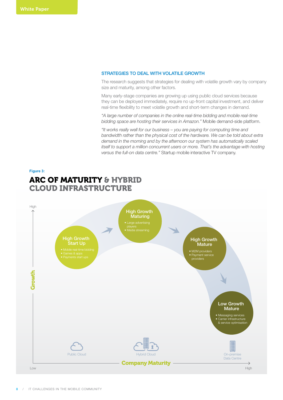#### STRATEGIES TO DEAL WITH VOLATILE GROWTH

The research suggests that strategies for dealing with volatile growth vary by company size and maturity, among other factors.

Many early-stage companies are growing up using public cloud services because they can be deployed immediately, require no up-front capital investment, and deliver real-time flexibility to meet volatile growth and short-term changes in demand.

*"A large number of companies in the online real-time bidding and mobile real-time bidding space are hosting their services in Amazon."* Mobile demand-side platform.

*"It works really well for our business – you are paying for computing time and bandwidth rather than the physical cost of the hardware. We can be told about extra demand in the morning and by the afternoon our system has automatically scaled itself to support a million concurrent users or more. That's the advantage with hosting versus the full-on data centre."* Startup mobile interactive TV company.

#### **Figure 3:** ARC OF MATURITY & HYBRID CLOUD INFRASTRUCTURE

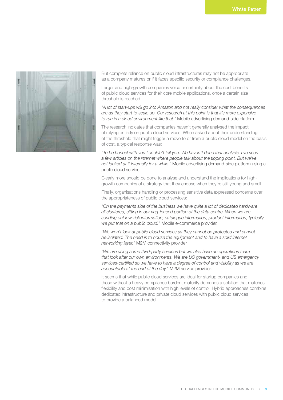

But complete reliance on public cloud infrastructures may not be appropriate as a company matures or if it faces specific security or compliance challenges.

Larger and high-growth companies voice uncertainty about the cost benefits of public cloud services for their core mobile applications, once a certain size threshold is reached.

*"A lot of start-ups will go into Amazon and not really consider what the consequences are as they start to scale up. Our research at this point is that it's more expensive to run in a cloud environment like that."* Mobile advertising demand-side platform.

The research indicates that companies haven't generally analysed the impact of relying entirely on public cloud services. When asked about their understanding of the threshold that might trigger a move to or from a public cloud model on the basis of cost, a typical response was:

*"To be honest with you I couldn't tell you. We haven't done that analysis. I've seen a few articles on the internet where people talk about the tipping point. But we've not looked at it internally for a while."* Mobile advertising demand-side platform using a public cloud service.

Clearly more should be done to analyse and understand the implications for highgrowth companies of a strategy that they choose when they're still young and small.

Finally, organisations handling or processing sensitive data expressed concerns over the appropriateness of public cloud services:

*"On the payments side of the business we have quite a lot of dedicated hardware all clustered, sitting in our ring-fenced portion of the data centre. When we are sending out low-risk information, catalogue information, product information, typically we put that on a public cloud."* Mobile e-commerce provider.

*"We won't look at public cloud services as they cannot be protected and cannot*  be isolated. The need is to house the equipment and to have a solid internet *networking layer."* M2M connectivity provider.

*"We are using some third-party services but we also have an operations team that look after our own environments. We are US government- and US emergency services-certified so we have to have a degree of control and visibility as we are accountable at the end of the day."* M2M service provider.

It seems that while public cloud services are ideal for startup companies and those without a heavy compliance burden, maturity demands a solution that matches flexibility and cost minimisation with high levels of control. Hybrid approaches combine dedicated infrastructure and private cloud services with public cloud services to provide a balanced model.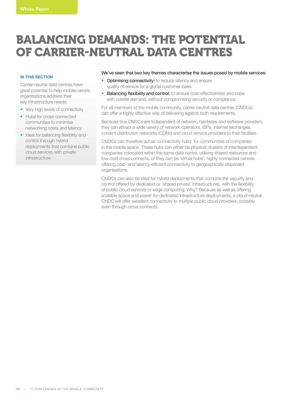### BALANCING DEMANDS: THE POTENTIAL OF CARRIER-NEUTRAL DATA CENTRES

#### **IN THIS SECTION**

Carrier-neutral data centres have great potential to help mobile-centric organisations address their key infrastructure needs:

- Very high levels of connectivity
- Hubs for cross-connected communities to minimise networking costs and latency
- Ideal for balancing flexibility and control through hybrid deployments that combine public cloud services with private infrastructure

#### We've seen that two key themes characterise the issues posed by mobile services:

- Optimising connectivity: to reduce latency and ensure quality of service for a global customer base.
- Balancing flexibility and control: to ensure cost-effectiveness and cope with volatile demand, without compromising security or compliance.

For all members of the mobile community, carrier-neutral data centres (CNDCs) can offer a highly effective way of delivering against both requirements.

Because true CNDCs are independent of network, hardware and software providers, they can attract a wide variety of network operators, ISPs, internet exchanges, content distribution networks (CDNs) and cloud service providers to their facilities.

CNDCs can therefore act as 'connectivity hubs' for communities of companies in the mobile space. These hubs can either be physical clusters of interdependent companies colocated within the same data centre, utilising shared resources and low-cost cross connects; or they can be 'virtual hubs': highly connected centres offering cost- and latency-efficient connectivity to geographically dispersed organisations.

CNDCs can also be ideal for hybrid deployments that combine the security and control offered by dedicated or 'shared private' infrastructures, with the flexibility of public cloud services or edge computing. Why? Because as well as offering scalable space and power for dedicated infrastructure deployments, a cloud-neutral CNDC will offer excellent connectivity to multiple public cloud providers, possibly even through cross connects.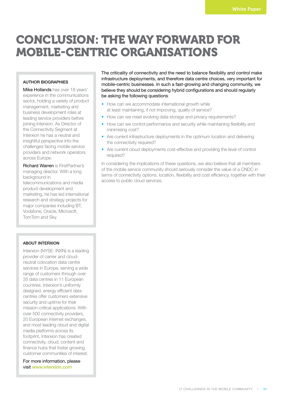### CONCLUSION: THE WAY FORWARD FOR MOBILE-CENTRIC ORGANISATIONS

#### AUTHOR BIOGRAPHIES

Mike Hollands has over 18 years' experience in the communications sector, holding a variety of product management, marketing and business development roles at leading service providers before joining Interxion. As Director of the Connectivity Segment at Interxion he has a neutral and insightful perspective into the challenges facing mobile service providers and network operators across Europe.

Richard Warren is FirstPartner's managing director. With a long background in telecommunications and media product development and marketing, he has led international research and strategy projects for major companies including BT, Vodafone, Oracle, Microsoft, TomTom and Sky.

#### ABOUT INTERXION

Interxion (NYSE: INXN) is a leading provider of carrier and cloudneutral colocation data centre services in Europe, serving a wide range of customers through over 35 data centres in 11 European countries. Interxion's uniformly designed, energy efficient data centres offer customers extensive security and uptime for their mission-critical applications. With over 500 connectivity providers, 20 European Internet exchanges, and most leading cloud and digital media platforms across its footprint, Interxion has created connectivity, cloud, content and finance hubs that foster growing customer communities of interest.

For more information, please visit www.interxion.com

The criticality of connectivity and the need to balance flexibility and control make infrastructure deployments, and therefore data centre choices, very important for mobile-centric businesses. In such a fast-growing and changing community, we believe they should be considering hybrid configurations and should regularly be asking the following questions:

- How can we accommodate international growth while at least maintaining, if not improving, quality of service?
- How can we meet evolving data storage and privacy requirements?
- How can we control performance and security while maintaining flexibility and minimising cost?
- Are current infrastructure deployments in the optimum location and delivering the connectivity required?
- Are current cloud deployments cost-effective and providing the level of control required?

In considering the implications of these questions, we also believe that all members of the mobile service community should seriously consider the value of a CNDC in terms of connectivity options, location, flexibility and cost efficiency, together with their access to public cloud services.